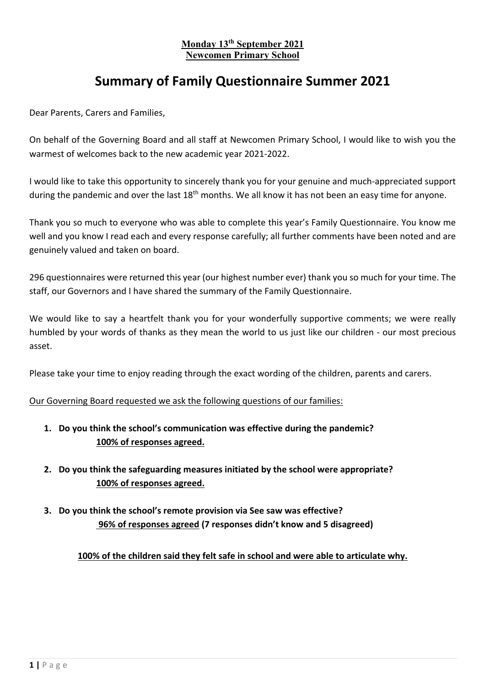#### **Monday 13th September 2021 Newcomen Primary School**

## **Summary of Family Questionnaire Summer 2021**

Dear Parents, Carers and Families,

On behalf of the Governing Board and all staff at Newcomen Primary School, I would like to wish you the warmest of welcomes back to the new academic year 2021-2022.

I would like to take this opportunity to sincerely thank you for your genuine and much-appreciated support during the pandemic and over the last  $18<sup>th</sup>$  months. We all know it has not been an easy time for anyone.

Thank you so much to everyone who was able to complete this year's Family Questionnaire. You know me well and you know I read each and every response carefully; all further comments have been noted and are genuinely valued and taken on board.

296 questionnaires were returned this year (our highest number ever) thank you so much for your time. The staff, our Governors and I have shared the summary of the Family Questionnaire.

We would like to say a heartfelt thank you for your wonderfully supportive comments; we were really humbled by your words of thanks as they mean the world to us just like our children - our most precious asset.

Please take your time to enjoy reading through the exact wording of the children, parents and carers.

Our Governing Board requested we ask the following questions of our families:

- **1. Do you think the school's communication was effective during the pandemic? 100% of responses agreed.**
- **2. Do you think the safeguarding measures initiated by the school were appropriate? 100% of responses agreed.**
- **3. Do you think the school's remote provision via See saw was effective? 96% of responses agreed (7 responses didn't know and 5 disagreed)**

**100% of the children said they felt safe in school and were able to articulate why.**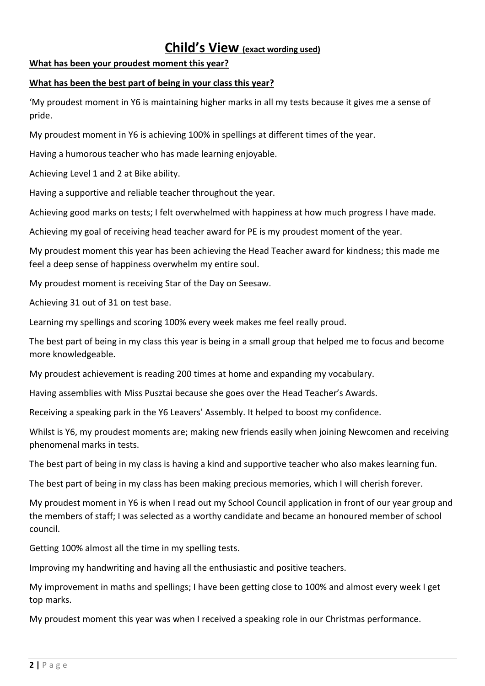### **Child's View (exact wording used)**

#### **What has been your proudest moment this year?**

### **What has been the best part of being in your class this year?**

'My proudest moment in Y6 is maintaining higher marks in all my tests because it gives me a sense of pride.

My proudest moment in Y6 is achieving 100% in spellings at different times of the year.

Having a humorous teacher who has made learning enjoyable.

Achieving Level 1 and 2 at Bike ability.

Having a supportive and reliable teacher throughout the year.

Achieving good marks on tests; I felt overwhelmed with happiness at how much progress I have made.

Achieving my goal of receiving head teacher award for PE is my proudest moment of the year.

My proudest moment this year has been achieving the Head Teacher award for kindness; this made me feel a deep sense of happiness overwhelm my entire soul.

My proudest moment is receiving Star of the Day on Seesaw.

Achieving 31 out of 31 on test base.

Learning my spellings and scoring 100% every week makes me feel really proud.

The best part of being in my class this year is being in a small group that helped me to focus and become more knowledgeable.

My proudest achievement is reading 200 times at home and expanding my vocabulary.

Having assemblies with Miss Pusztai because she goes over the Head Teacher's Awards.

Receiving a speaking park in the Y6 Leavers' Assembly. It helped to boost my confidence.

Whilst is Y6, my proudest moments are; making new friends easily when joining Newcomen and receiving phenomenal marks in tests.

The best part of being in my class is having a kind and supportive teacher who also makes learning fun.

The best part of being in my class has been making precious memories, which I will cherish forever.

My proudest moment in Y6 is when I read out my School Council application in front of our year group and the members of staff; I was selected as a worthy candidate and became an honoured member of school council.

Getting 100% almost all the time in my spelling tests.

Improving my handwriting and having all the enthusiastic and positive teachers.

My improvement in maths and spellings; I have been getting close to 100% and almost every week I get top marks.

My proudest moment this year was when I received a speaking role in our Christmas performance.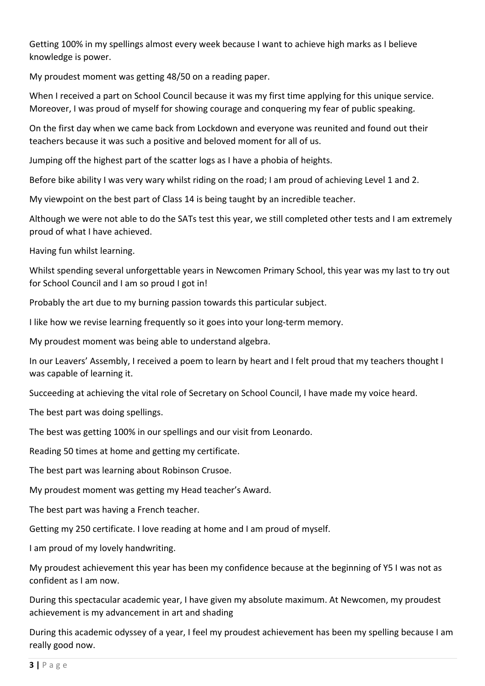Getting 100% in my spellings almost every week because I want to achieve high marks as I believe knowledge is power.

My proudest moment was getting 48/50 on a reading paper.

When I received a part on School Council because it was my first time applying for this unique service. Moreover, I was proud of myself for showing courage and conquering my fear of public speaking.

On the first day when we came back from Lockdown and everyone was reunited and found out their teachers because it was such a positive and beloved moment for all of us.

Jumping off the highest part of the scatter logs as I have a phobia of heights.

Before bike ability I was very wary whilst riding on the road; I am proud of achieving Level 1 and 2.

My viewpoint on the best part of Class 14 is being taught by an incredible teacher.

Although we were not able to do the SATs test this year, we still completed other tests and I am extremely proud of what I have achieved.

Having fun whilst learning.

Whilst spending several unforgettable years in Newcomen Primary School, this year was my last to try out for School Council and I am so proud I got in!

Probably the art due to my burning passion towards this particular subject.

I like how we revise learning frequently so it goes into your long-term memory.

My proudest moment was being able to understand algebra.

In our Leavers' Assembly, I received a poem to learn by heart and I felt proud that my teachers thought I was capable of learning it.

Succeeding at achieving the vital role of Secretary on School Council, I have made my voice heard.

The best part was doing spellings.

The best was getting 100% in our spellings and our visit from Leonardo.

Reading 50 times at home and getting my certificate.

The best part was learning about Robinson Crusoe.

My proudest moment was getting my Head teacher's Award.

The best part was having a French teacher.

Getting my 250 certificate. I love reading at home and I am proud of myself.

I am proud of my lovely handwriting.

My proudest achievement this year has been my confidence because at the beginning of Y5 I was not as confident as I am now.

During this spectacular academic year, I have given my absolute maximum. At Newcomen, my proudest achievement is my advancement in art and shading

During this academic odyssey of a year, I feel my proudest achievement has been my spelling because I am really good now.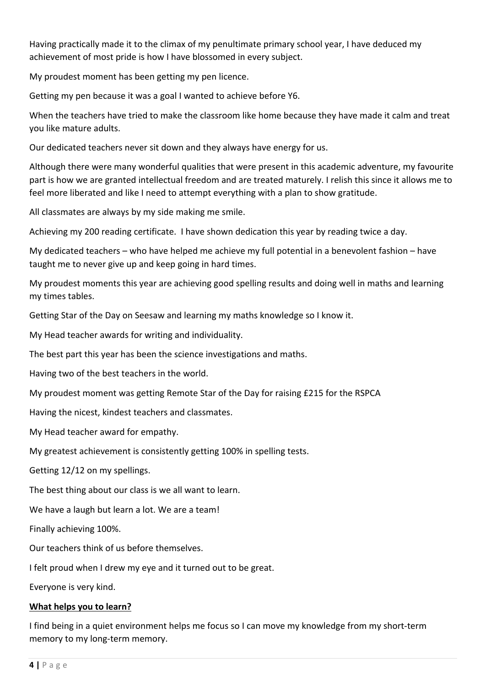Having practically made it to the climax of my penultimate primary school year, I have deduced my achievement of most pride is how I have blossomed in every subject.

My proudest moment has been getting my pen licence.

Getting my pen because it was a goal I wanted to achieve before Y6.

When the teachers have tried to make the classroom like home because they have made it calm and treat you like mature adults.

Our dedicated teachers never sit down and they always have energy for us.

Although there were many wonderful qualities that were present in this academic adventure, my favourite part is how we are granted intellectual freedom and are treated maturely. I relish this since it allows me to feel more liberated and like I need to attempt everything with a plan to show gratitude.

All classmates are always by my side making me smile.

Achieving my 200 reading certificate. I have shown dedication this year by reading twice a day.

My dedicated teachers – who have helped me achieve my full potential in a benevolent fashion – have taught me to never give up and keep going in hard times.

My proudest moments this year are achieving good spelling results and doing well in maths and learning my times tables.

Getting Star of the Day on Seesaw and learning my maths knowledge so I know it.

My Head teacher awards for writing and individuality.

The best part this year has been the science investigations and maths.

Having two of the best teachers in the world.

My proudest moment was getting Remote Star of the Day for raising £215 for the RSPCA

Having the nicest, kindest teachers and classmates.

My Head teacher award for empathy.

My greatest achievement is consistently getting 100% in spelling tests.

Getting 12/12 on my spellings.

The best thing about our class is we all want to learn.

We have a laugh but learn a lot. We are a team!

Finally achieving 100%.

Our teachers think of us before themselves.

I felt proud when I drew my eye and it turned out to be great.

Everyone is very kind.

#### **What helps you to learn?**

I find being in a quiet environment helps me focus so I can move my knowledge from my short-term memory to my long-term memory.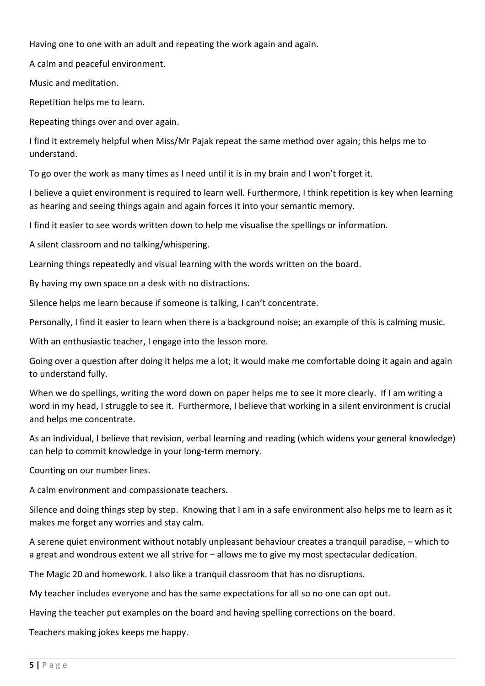Having one to one with an adult and repeating the work again and again.

A calm and peaceful environment.

Music and meditation.

Repetition helps me to learn.

Repeating things over and over again.

I find it extremely helpful when Miss/Mr Pajak repeat the same method over again; this helps me to understand.

To go over the work as many times as I need until it is in my brain and I won't forget it.

I believe a quiet environment is required to learn well. Furthermore, I think repetition is key when learning as hearing and seeing things again and again forces it into your semantic memory.

I find it easier to see words written down to help me visualise the spellings or information.

A silent classroom and no talking/whispering.

Learning things repeatedly and visual learning with the words written on the board.

By having my own space on a desk with no distractions.

Silence helps me learn because if someone is talking, I can't concentrate.

Personally, I find it easier to learn when there is a background noise; an example of this is calming music.

With an enthusiastic teacher, I engage into the lesson more.

Going over a question after doing it helps me a lot; it would make me comfortable doing it again and again to understand fully.

When we do spellings, writing the word down on paper helps me to see it more clearly. If I am writing a word in my head, I struggle to see it. Furthermore, I believe that working in a silent environment is crucial and helps me concentrate.

As an individual, I believe that revision, verbal learning and reading (which widens your general knowledge) can help to commit knowledge in your long-term memory.

Counting on our number lines.

A calm environment and compassionate teachers.

Silence and doing things step by step. Knowing that I am in a safe environment also helps me to learn as it makes me forget any worries and stay calm.

A serene quiet environment without notably unpleasant behaviour creates a tranquil paradise, – which to a great and wondrous extent we all strive for – allows me to give my most spectacular dedication.

The Magic 20 and homework. I also like a tranquil classroom that has no disruptions.

My teacher includes everyone and has the same expectations for all so no one can opt out.

Having the teacher put examples on the board and having spelling corrections on the board.

Teachers making jokes keeps me happy.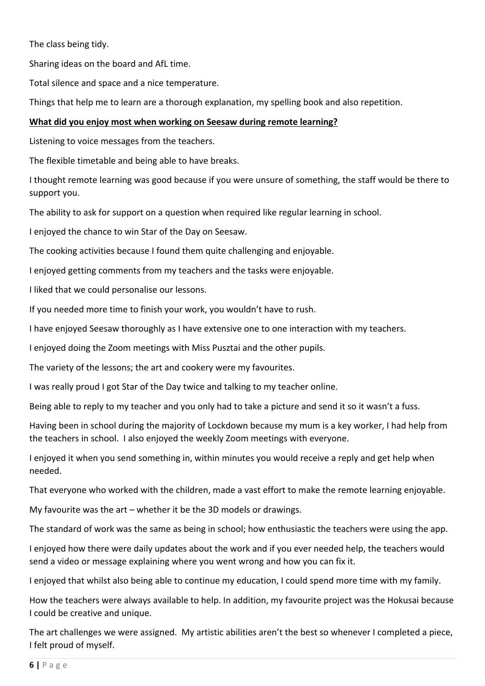The class being tidy.

Sharing ideas on the board and AfL time.

Total silence and space and a nice temperature.

Things that help me to learn are a thorough explanation, my spelling book and also repetition.

### **What did you enjoy most when working on Seesaw during remote learning?**

Listening to voice messages from the teachers.

The flexible timetable and being able to have breaks.

I thought remote learning was good because if you were unsure of something, the staff would be there to support you.

The ability to ask for support on a question when required like regular learning in school.

I enjoyed the chance to win Star of the Day on Seesaw.

The cooking activities because I found them quite challenging and enjoyable.

I enjoyed getting comments from my teachers and the tasks were enjoyable.

I liked that we could personalise our lessons.

If you needed more time to finish your work, you wouldn't have to rush.

I have enjoyed Seesaw thoroughly as I have extensive one to one interaction with my teachers.

I enjoyed doing the Zoom meetings with Miss Pusztai and the other pupils.

The variety of the lessons; the art and cookery were my favourites.

I was really proud I got Star of the Day twice and talking to my teacher online.

Being able to reply to my teacher and you only had to take a picture and send it so it wasn't a fuss.

Having been in school during the majority of Lockdown because my mum is a key worker, I had help from the teachers in school. I also enjoyed the weekly Zoom meetings with everyone.

I enjoyed it when you send something in, within minutes you would receive a reply and get help when needed.

That everyone who worked with the children, made a vast effort to make the remote learning enjoyable.

My favourite was the art – whether it be the 3D models or drawings.

The standard of work was the same as being in school; how enthusiastic the teachers were using the app.

I enjoyed how there were daily updates about the work and if you ever needed help, the teachers would send a video or message explaining where you went wrong and how you can fix it.

I enjoyed that whilst also being able to continue my education, I could spend more time with my family.

How the teachers were always available to help. In addition, my favourite project was the Hokusai because I could be creative and unique.

The art challenges we were assigned. My artistic abilities aren't the best so whenever I completed a piece, I felt proud of myself.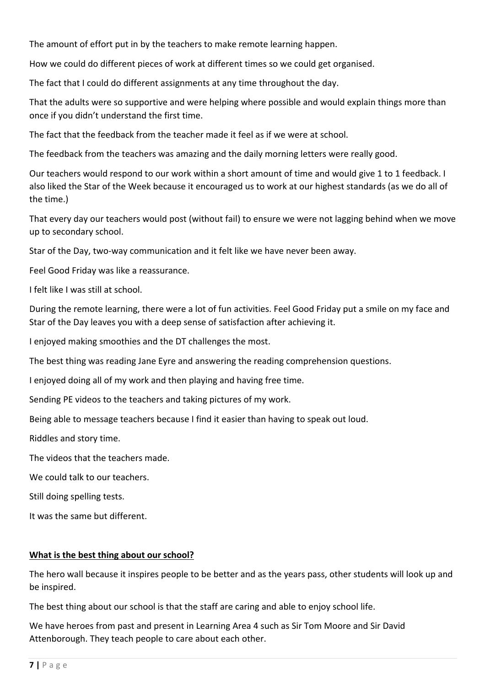The amount of effort put in by the teachers to make remote learning happen.

How we could do different pieces of work at different times so we could get organised.

The fact that I could do different assignments at any time throughout the day.

That the adults were so supportive and were helping where possible and would explain things more than once if you didn't understand the first time.

The fact that the feedback from the teacher made it feel as if we were at school.

The feedback from the teachers was amazing and the daily morning letters were really good.

Our teachers would respond to our work within a short amount of time and would give 1 to 1 feedback. I also liked the Star of the Week because it encouraged us to work at our highest standards (as we do all of the time.)

That every day our teachers would post (without fail) to ensure we were not lagging behind when we move up to secondary school.

Star of the Day, two-way communication and it felt like we have never been away.

Feel Good Friday was like a reassurance.

I felt like I was still at school.

During the remote learning, there were a lot of fun activities. Feel Good Friday put a smile on my face and Star of the Day leaves you with a deep sense of satisfaction after achieving it.

I enjoyed making smoothies and the DT challenges the most.

The best thing was reading Jane Eyre and answering the reading comprehension questions.

I enjoyed doing all of my work and then playing and having free time.

Sending PE videos to the teachers and taking pictures of my work.

Being able to message teachers because I find it easier than having to speak out loud.

Riddles and story time.

The videos that the teachers made.

We could talk to our teachers.

Still doing spelling tests.

It was the same but different.

#### **What is the best thing about our school?**

The hero wall because it inspires people to be better and as the years pass, other students will look up and be inspired.

The best thing about our school is that the staff are caring and able to enjoy school life.

We have heroes from past and present in Learning Area 4 such as Sir Tom Moore and Sir David Attenborough. They teach people to care about each other.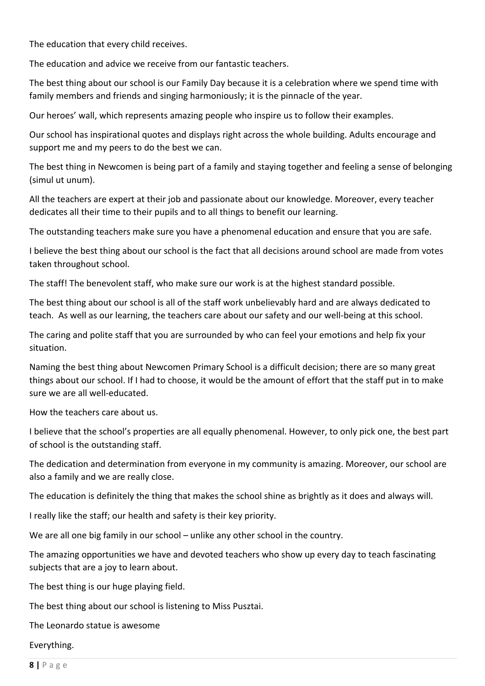The education that every child receives.

The education and advice we receive from our fantastic teachers.

The best thing about our school is our Family Day because it is a celebration where we spend time with family members and friends and singing harmoniously; it is the pinnacle of the year.

Our heroes' wall, which represents amazing people who inspire us to follow their examples.

Our school has inspirational quotes and displays right across the whole building. Adults encourage and support me and my peers to do the best we can.

The best thing in Newcomen is being part of a family and staying together and feeling a sense of belonging (simul ut unum).

All the teachers are expert at their job and passionate about our knowledge. Moreover, every teacher dedicates all their time to their pupils and to all things to benefit our learning.

The outstanding teachers make sure you have a phenomenal education and ensure that you are safe.

I believe the best thing about our school is the fact that all decisions around school are made from votes taken throughout school.

The staff! The benevolent staff, who make sure our work is at the highest standard possible.

The best thing about our school is all of the staff work unbelievably hard and are always dedicated to teach. As well as our learning, the teachers care about our safety and our well-being at this school.

The caring and polite staff that you are surrounded by who can feel your emotions and help fix your situation.

Naming the best thing about Newcomen Primary School is a difficult decision; there are so many great things about our school. If I had to choose, it would be the amount of effort that the staff put in to make sure we are all well-educated.

How the teachers care about us.

I believe that the school's properties are all equally phenomenal. However, to only pick one, the best part of school is the outstanding staff.

The dedication and determination from everyone in my community is amazing. Moreover, our school are also a family and we are really close.

The education is definitely the thing that makes the school shine as brightly as it does and always will.

I really like the staff; our health and safety is their key priority.

We are all one big family in our school – unlike any other school in the country.

The amazing opportunities we have and devoted teachers who show up every day to teach fascinating subjects that are a joy to learn about.

The best thing is our huge playing field.

The best thing about our school is listening to Miss Pusztai.

The Leonardo statue is awesome

Everything.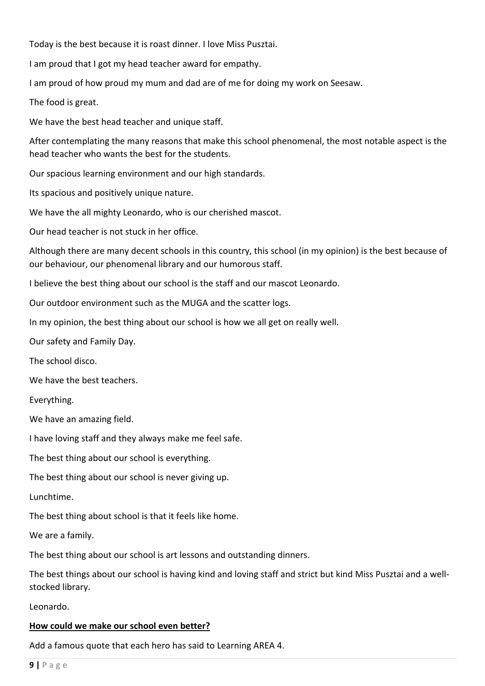Today is the best because it is roast dinner. I love Miss Pusztai.

I am proud that I got my head teacher award for empathy.

I am proud of how proud my mum and dad are of me for doing my work on Seesaw.

The food is great.

We have the best head teacher and unique staff.

After contemplating the many reasons that make this school phenomenal, the most notable aspect is the head teacher who wants the best for the students.

Our spacious learning environment and our high standards.

Its spacious and positively unique nature.

We have the all mighty Leonardo, who is our cherished mascot.

Our head teacher is not stuck in her office.

Although there are many decent schools in this country, this school (in my opinion) is the best because of our behaviour, our phenomenal library and our humorous staff.

I believe the best thing about our school is the staff and our mascot Leonardo.

Our outdoor environment such as the MUGA and the scatter logs.

In my opinion, the best thing about our school is how we all get on really well.

Our safety and Family Day.

The school disco.

We have the best teachers.

Everything.

We have an amazing field.

I have loving staff and they always make me feel safe.

The best thing about our school is everything.

The best thing about our school is never giving up.

Lunchtime.

The best thing about school is that it feels like home.

We are a family.

The best thing about our school is art lessons and outstanding dinners.

The best things about our school is having kind and loving staff and strict but kind Miss Pusztai and a wellstocked library.

Leonardo.

#### **How could we make our school even better?**

Add a famous quote that each hero has said to Learning AREA 4.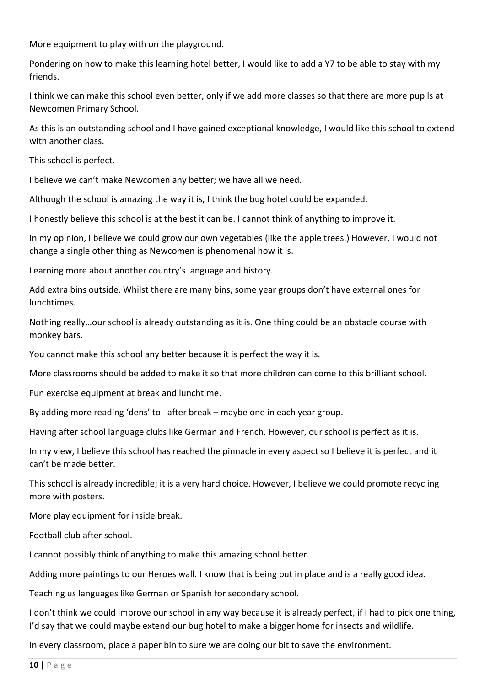More equipment to play with on the playground.

Pondering on how to make this learning hotel better, I would like to add a Y7 to be able to stay with my friends.

I think we can make this school even better, only if we add more classes so that there are more pupils at Newcomen Primary School.

As this is an outstanding school and I have gained exceptional knowledge, I would like this school to extend with another class.

This school is perfect.

I believe we can't make Newcomen any better; we have all we need.

Although the school is amazing the way it is, I think the bug hotel could be expanded.

I honestly believe this school is at the best it can be. I cannot think of anything to improve it.

In my opinion, I believe we could grow our own vegetables (like the apple trees.) However, I would not change a single other thing as Newcomen is phenomenal how it is.

Learning more about another country's language and history.

Add extra bins outside. Whilst there are many bins, some year groups don't have external ones for lunchtimes.

Nothing really…our school is already outstanding as it is. One thing could be an obstacle course with monkey bars.

You cannot make this school any better because it is perfect the way it is.

More classrooms should be added to make it so that more children can come to this brilliant school.

Fun exercise equipment at break and lunchtime.

By adding more reading 'dens' to after break – maybe one in each year group.

Having after school language clubs like German and French. However, our school is perfect as it is.

In my view, I believe this school has reached the pinnacle in every aspect so I believe it is perfect and it can't be made better.

This school is already incredible; it is a very hard choice. However, I believe we could promote recycling more with posters.

More play equipment for inside break.

Football club after school.

I cannot possibly think of anything to make this amazing school better.

Adding more paintings to our Heroes wall. I know that is being put in place and is a really good idea.

Teaching us languages like German or Spanish for secondary school.

I don't think we could improve our school in any way because it is already perfect, if I had to pick one thing, I'd say that we could maybe extend our bug hotel to make a bigger home for insects and wildlife.

In every classroom, place a paper bin to sure we are doing our bit to save the environment.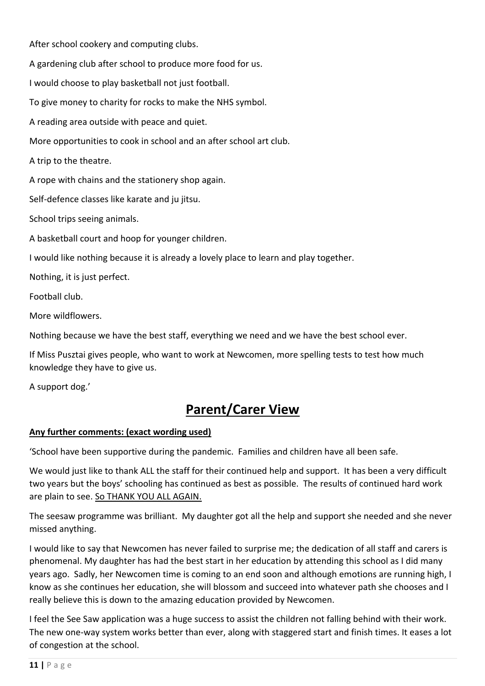After school cookery and computing clubs.

A gardening club after school to produce more food for us.

I would choose to play basketball not just football.

To give money to charity for rocks to make the NHS symbol.

A reading area outside with peace and quiet.

More opportunities to cook in school and an after school art club.

A trip to the theatre.

A rope with chains and the stationery shop again.

Self-defence classes like karate and ju jitsu.

School trips seeing animals.

A basketball court and hoop for younger children.

I would like nothing because it is already a lovely place to learn and play together.

Nothing, it is just perfect.

Football club.

More wildflowers.

Nothing because we have the best staff, everything we need and we have the best school ever.

If Miss Pusztai gives people, who want to work at Newcomen, more spelling tests to test how much knowledge they have to give us.

A support dog.'

# **Parent/Carer View**

#### **Any further comments: (exact wording used)**

'School have been supportive during the pandemic. Families and children have all been safe.

We would just like to thank ALL the staff for their continued help and support. It has been a very difficult two years but the boys' schooling has continued as best as possible. The results of continued hard work are plain to see. So THANK YOU ALL AGAIN.

The seesaw programme was brilliant. My daughter got all the help and support she needed and she never missed anything.

I would like to say that Newcomen has never failed to surprise me; the dedication of all staff and carers is phenomenal. My daughter has had the best start in her education by attending this school as I did many years ago. Sadly, her Newcomen time is coming to an end soon and although emotions are running high, I know as she continues her education, she will blossom and succeed into whatever path she chooses and I really believe this is down to the amazing education provided by Newcomen.

I feel the See Saw application was a huge success to assist the children not falling behind with their work. The new one-way system works better than ever, along with staggered start and finish times. It eases a lot of congestion at the school.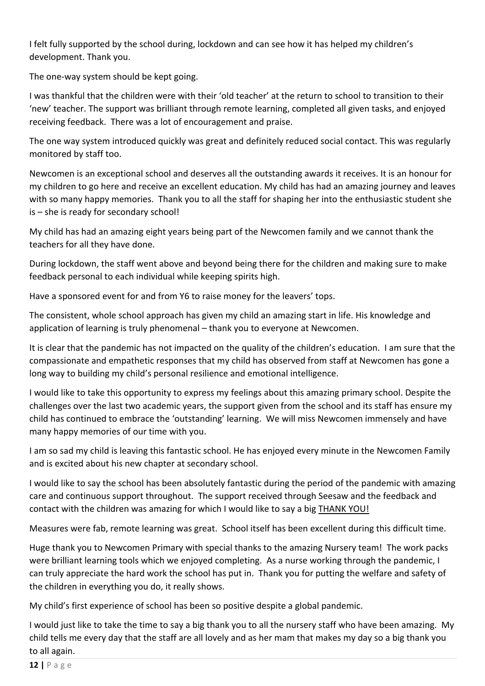I felt fully supported by the school during, lockdown and can see how it has helped my children's development. Thank you.

The one-way system should be kept going.

I was thankful that the children were with their 'old teacher' at the return to school to transition to their 'new' teacher. The support was brilliant through remote learning, completed all given tasks, and enjoyed receiving feedback. There was a lot of encouragement and praise.

The one way system introduced quickly was great and definitely reduced social contact. This was regularly monitored by staff too.

Newcomen is an exceptional school and deserves all the outstanding awards it receives. It is an honour for my children to go here and receive an excellent education. My child has had an amazing journey and leaves with so many happy memories. Thank you to all the staff for shaping her into the enthusiastic student she is – she is ready for secondary school!

My child has had an amazing eight years being part of the Newcomen family and we cannot thank the teachers for all they have done.

During lockdown, the staff went above and beyond being there for the children and making sure to make feedback personal to each individual while keeping spirits high.

Have a sponsored event for and from Y6 to raise money for the leavers' tops.

The consistent, whole school approach has given my child an amazing start in life. His knowledge and application of learning is truly phenomenal – thank you to everyone at Newcomen.

It is clear that the pandemic has not impacted on the quality of the children's education. I am sure that the compassionate and empathetic responses that my child has observed from staff at Newcomen has gone a long way to building my child's personal resilience and emotional intelligence.

I would like to take this opportunity to express my feelings about this amazing primary school. Despite the challenges over the last two academic years, the support given from the school and its staff has ensure my child has continued to embrace the 'outstanding' learning. We will miss Newcomen immensely and have many happy memories of our time with you.

I am so sad my child is leaving this fantastic school. He has enjoyed every minute in the Newcomen Family and is excited about his new chapter at secondary school.

I would like to say the school has been absolutely fantastic during the period of the pandemic with amazing care and continuous support throughout. The support received through Seesaw and the feedback and contact with the children was amazing for which I would like to say a big THANK YOU!

Measures were fab, remote learning was great. School itself has been excellent during this difficult time.

Huge thank you to Newcomen Primary with special thanks to the amazing Nursery team! The work packs were brilliant learning tools which we enjoyed completing. As a nurse working through the pandemic, I can truly appreciate the hard work the school has put in. Thank you for putting the welfare and safety of the children in everything you do, it really shows.

My child's first experience of school has been so positive despite a global pandemic.

I would just like to take the time to say a big thank you to all the nursery staff who have been amazing. My child tells me every day that the staff are all lovely and as her mam that makes my day so a big thank you to all again.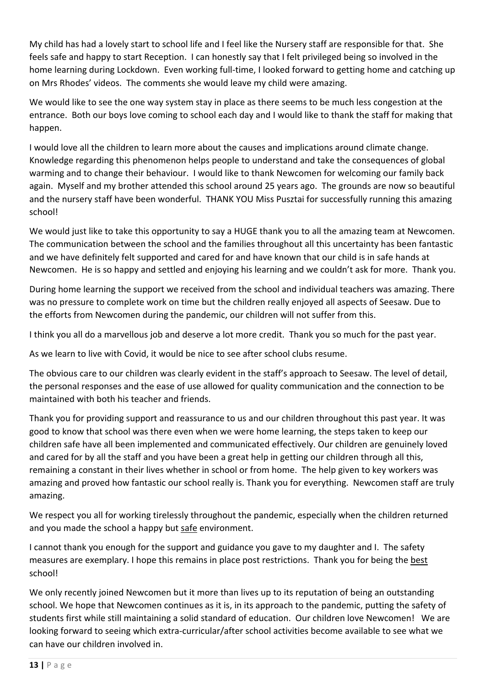My child has had a lovely start to school life and I feel like the Nursery staff are responsible for that. She feels safe and happy to start Reception. I can honestly say that I felt privileged being so involved in the home learning during Lockdown. Even working full-time, I looked forward to getting home and catching up on Mrs Rhodes' videos. The comments she would leave my child were amazing.

We would like to see the one way system stay in place as there seems to be much less congestion at the entrance. Both our boys love coming to school each day and I would like to thank the staff for making that happen.

I would love all the children to learn more about the causes and implications around climate change. Knowledge regarding this phenomenon helps people to understand and take the consequences of global warming and to change their behaviour. I would like to thank Newcomen for welcoming our family back again. Myself and my brother attended this school around 25 years ago. The grounds are now so beautiful and the nursery staff have been wonderful. THANK YOU Miss Pusztai for successfully running this amazing school!

We would just like to take this opportunity to say a HUGE thank you to all the amazing team at Newcomen. The communication between the school and the families throughout all this uncertainty has been fantastic and we have definitely felt supported and cared for and have known that our child is in safe hands at Newcomen. He is so happy and settled and enjoying his learning and we couldn't ask for more. Thank you.

During home learning the support we received from the school and individual teachers was amazing. There was no pressure to complete work on time but the children really enjoyed all aspects of Seesaw. Due to the efforts from Newcomen during the pandemic, our children will not suffer from this.

I think you all do a marvellous job and deserve a lot more credit. Thank you so much for the past year.

As we learn to live with Covid, it would be nice to see after school clubs resume.

The obvious care to our children was clearly evident in the staff's approach to Seesaw. The level of detail, the personal responses and the ease of use allowed for quality communication and the connection to be maintained with both his teacher and friends.

Thank you for providing support and reassurance to us and our children throughout this past year. It was good to know that school was there even when we were home learning, the steps taken to keep our children safe have all been implemented and communicated effectively. Our children are genuinely loved and cared for by all the staff and you have been a great help in getting our children through all this, remaining a constant in their lives whether in school or from home. The help given to key workers was amazing and proved how fantastic our school really is. Thank you for everything. Newcomen staff are truly amazing.

We respect you all for working tirelessly throughout the pandemic, especially when the children returned and you made the school a happy but safe environment.

I cannot thank you enough for the support and guidance you gave to my daughter and I. The safety measures are exemplary. I hope this remains in place post restrictions. Thank you for being the best school!

We only recently joined Newcomen but it more than lives up to its reputation of being an outstanding school. We hope that Newcomen continues as it is, in its approach to the pandemic, putting the safety of students first while still maintaining a solid standard of education. Our children love Newcomen! We are looking forward to seeing which extra-curricular/after school activities become available to see what we can have our children involved in.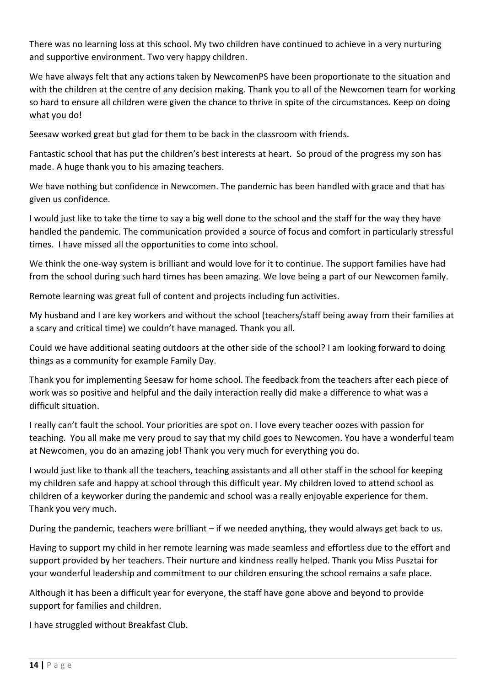There was no learning loss at this school. My two children have continued to achieve in a very nurturing and supportive environment. Two very happy children.

We have always felt that any actions taken by NewcomenPS have been proportionate to the situation and with the children at the centre of any decision making. Thank you to all of the Newcomen team for working so hard to ensure all children were given the chance to thrive in spite of the circumstances. Keep on doing what you do!

Seesaw worked great but glad for them to be back in the classroom with friends.

Fantastic school that has put the children's best interests at heart. So proud of the progress my son has made. A huge thank you to his amazing teachers.

We have nothing but confidence in Newcomen. The pandemic has been handled with grace and that has given us confidence.

I would just like to take the time to say a big well done to the school and the staff for the way they have handled the pandemic. The communication provided a source of focus and comfort in particularly stressful times. I have missed all the opportunities to come into school.

We think the one-way system is brilliant and would love for it to continue. The support families have had from the school during such hard times has been amazing. We love being a part of our Newcomen family.

Remote learning was great full of content and projects including fun activities.

My husband and I are key workers and without the school (teachers/staff being away from their families at a scary and critical time) we couldn't have managed. Thank you all.

Could we have additional seating outdoors at the other side of the school? I am looking forward to doing things as a community for example Family Day.

Thank you for implementing Seesaw for home school. The feedback from the teachers after each piece of work was so positive and helpful and the daily interaction really did make a difference to what was a difficult situation.

I really can't fault the school. Your priorities are spot on. I love every teacher oozes with passion for teaching. You all make me very proud to say that my child goes to Newcomen. You have a wonderful team at Newcomen, you do an amazing job! Thank you very much for everything you do.

I would just like to thank all the teachers, teaching assistants and all other staff in the school for keeping my children safe and happy at school through this difficult year. My children loved to attend school as children of a keyworker during the pandemic and school was a really enjoyable experience for them. Thank you very much.

During the pandemic, teachers were brilliant – if we needed anything, they would always get back to us.

Having to support my child in her remote learning was made seamless and effortless due to the effort and support provided by her teachers. Their nurture and kindness really helped. Thank you Miss Pusztai for your wonderful leadership and commitment to our children ensuring the school remains a safe place.

Although it has been a difficult year for everyone, the staff have gone above and beyond to provide support for families and children.

I have struggled without Breakfast Club.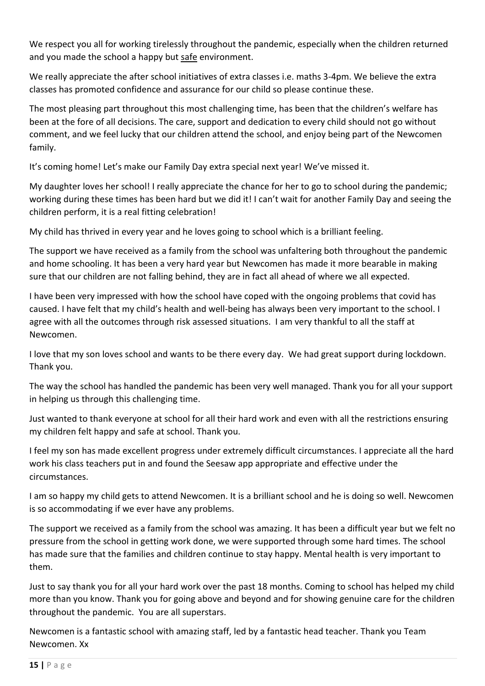We respect you all for working tirelessly throughout the pandemic, especially when the children returned and you made the school a happy but safe environment.

We really appreciate the after school initiatives of extra classes i.e. maths 3-4pm. We believe the extra classes has promoted confidence and assurance for our child so please continue these.

The most pleasing part throughout this most challenging time, has been that the children's welfare has been at the fore of all decisions. The care, support and dedication to every child should not go without comment, and we feel lucky that our children attend the school, and enjoy being part of the Newcomen family.

It's coming home! Let's make our Family Day extra special next year! We've missed it.

My daughter loves her school! I really appreciate the chance for her to go to school during the pandemic; working during these times has been hard but we did it! I can't wait for another Family Day and seeing the children perform, it is a real fitting celebration!

My child has thrived in every year and he loves going to school which is a brilliant feeling.

The support we have received as a family from the school was unfaltering both throughout the pandemic and home schooling. It has been a very hard year but Newcomen has made it more bearable in making sure that our children are not falling behind, they are in fact all ahead of where we all expected.

I have been very impressed with how the school have coped with the ongoing problems that covid has caused. I have felt that my child's health and well-being has always been very important to the school. I agree with all the outcomes through risk assessed situations. I am very thankful to all the staff at Newcomen.

I love that my son loves school and wants to be there every day. We had great support during lockdown. Thank you.

The way the school has handled the pandemic has been very well managed. Thank you for all your support in helping us through this challenging time.

Just wanted to thank everyone at school for all their hard work and even with all the restrictions ensuring my children felt happy and safe at school. Thank you.

I feel my son has made excellent progress under extremely difficult circumstances. I appreciate all the hard work his class teachers put in and found the Seesaw app appropriate and effective under the circumstances.

I am so happy my child gets to attend Newcomen. It is a brilliant school and he is doing so well. Newcomen is so accommodating if we ever have any problems.

The support we received as a family from the school was amazing. It has been a difficult year but we felt no pressure from the school in getting work done, we were supported through some hard times. The school has made sure that the families and children continue to stay happy. Mental health is very important to them.

Just to say thank you for all your hard work over the past 18 months. Coming to school has helped my child more than you know. Thank you for going above and beyond and for showing genuine care for the children throughout the pandemic. You are all superstars.

Newcomen is a fantastic school with amazing staff, led by a fantastic head teacher. Thank you Team Newcomen. Xx